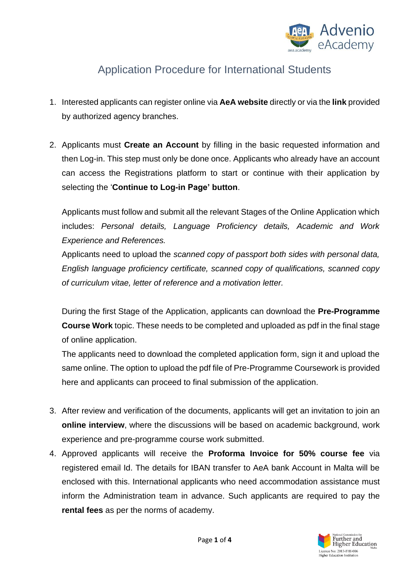

## Application Procedure for International Students

- 1. Interested applicants can register online via **AeA website** directly or via the **link** provided by authorized agency branches.
- 2. Applicants must **Create an Account** by filling in the basic requested information and then Log-in. This step must only be done once. Applicants who already have an account can access the Registrations platform to start or continue with their application by selecting the '**Continue to Log-in Page' button**.

Applicants must follow and submit all the relevant Stages of the Online Application which includes: *Personal details, Language Proficiency details, Academic and Work Experience and References.*

Applicants need to upload the *scanned copy of passport both sides with personal data, English language proficiency certificate, scanned copy of qualifications, scanned copy of curriculum vitae, letter of reference and a motivation letter.*

During the first Stage of the Application, applicants can download the **Pre-Programme Course Work** topic. These needs to be completed and uploaded as pdf in the final stage of online application.

The applicants need to download the completed application form, sign it and upload the same online. The option to upload the pdf file of Pre-Programme Coursework is provided here and applicants can proceed to final submission of the application.

- 3. After review and verification of the documents, applicants will get an invitation to join an **online interview**, where the discussions will be based on academic background, work experience and pre-programme course work submitted.
- 4. Approved applicants will receive the **Proforma Invoice for 50% course fee** via registered email Id. The details for IBAN transfer to AeA bank Account in Malta will be enclosed with this. International applicants who need accommodation assistance must inform the Administration team in advance. Such applicants are required to pay the **rental fees** as per the norms of academy.

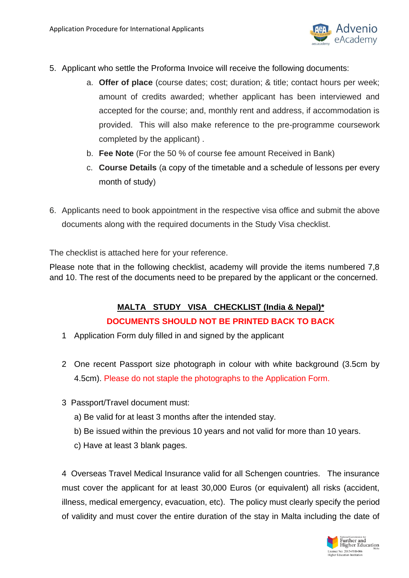

- 5. Applicant who settle the Proforma Invoice will receive the following documents:
	- a. **Offer of place** (course dates; cost; duration; & title; contact hours per week; amount of credits awarded; whether applicant has been interviewed and accepted for the course; and, monthly rent and address, if accommodation is provided. This will also make reference to the pre-programme coursework completed by the applicant) .
	- b. **Fee Note** (For the 50 % of course fee amount Received in Bank)
	- c. **Course Details** (a copy of the timetable and a schedule of lessons per every month of study)
- 6. Applicants need to book appointment in the respective visa office and submit the above documents along with the required documents in the Study Visa checklist.

The checklist is attached here for your reference.

Please note that in the following checklist, academy will provide the items numbered 7,8 and 10. The rest of the documents need to be prepared by the applicant or the concerned.

## **MALTA STUDY VISA CHECKLIST (India & Nepal)\* DOCUMENTS SHOULD NOT BE PRINTED BACK TO BACK**

- 1 Application Form duly filled in and signed by the applicant
- 2 One recent Passport size photograph in colour with white background (3.5cm by 4.5cm). Please do not staple the photographs to the Application Form.
- 3 Passport/Travel document must:
	- a) Be valid for at least 3 months after the intended stay.
	- b) Be issued within the previous 10 years and not valid for more than 10 years.
	- c) Have at least 3 blank pages.

4 Overseas Travel Medical Insurance valid for all Schengen countries. The insurance must cover the applicant for at least 30,000 Euros (or equivalent) all risks (accident, illness, medical emergency, evacuation, etc). The policy must clearly specify the period of validity and must cover the entire duration of the stay in Malta including the date of

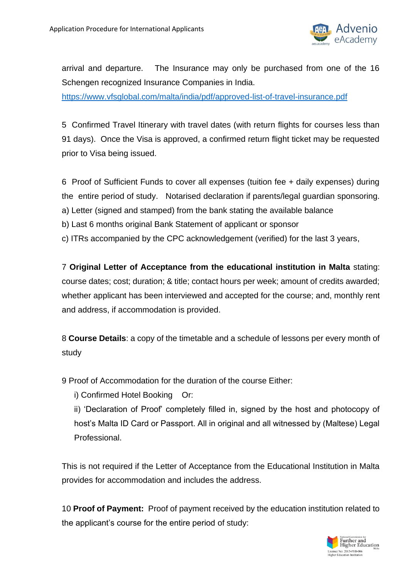

arrival and departure. The Insurance may only be purchased from one of the 16 Schengen recognized Insurance Companies in India.

<https://www.vfsglobal.com/malta/india/pdf/approved-list-of-travel-insurance.pdf>

5 Confirmed Travel Itinerary with travel dates (with return flights for courses less than 91 days). Once the Visa is approved, a confirmed return flight ticket may be requested prior to Visa being issued.

6 Proof of Sufficient Funds to cover all expenses (tuition fee + daily expenses) during the entire period of study. Notarised declaration if parents/legal guardian sponsoring.

- a) Letter (signed and stamped) from the bank stating the available balance
- b) Last 6 months original Bank Statement of applicant or sponsor

c) ITRs accompanied by the CPC acknowledgement (verified) for the last 3 years,

7 **Original Letter of Acceptance from the educational institution in Malta** stating: course dates; cost; duration; & title; contact hours per week; amount of credits awarded; whether applicant has been interviewed and accepted for the course; and, monthly rent and address, if accommodation is provided.

8 **Course Details**: a copy of the timetable and a schedule of lessons per every month of study

9 Proof of Accommodation for the duration of the course Either:

i) Confirmed Hotel Booking Or:

ii) 'Declaration of Proof' completely filled in, signed by the host and photocopy of host's Malta ID Card or Passport. All in original and all witnessed by (Maltese) Legal Professional.

This is not required if the Letter of Acceptance from the Educational Institution in Malta provides for accommodation and includes the address.

10 **Proof of Payment:** Proof of payment received by the education institution related to the applicant's course for the entire period of study: